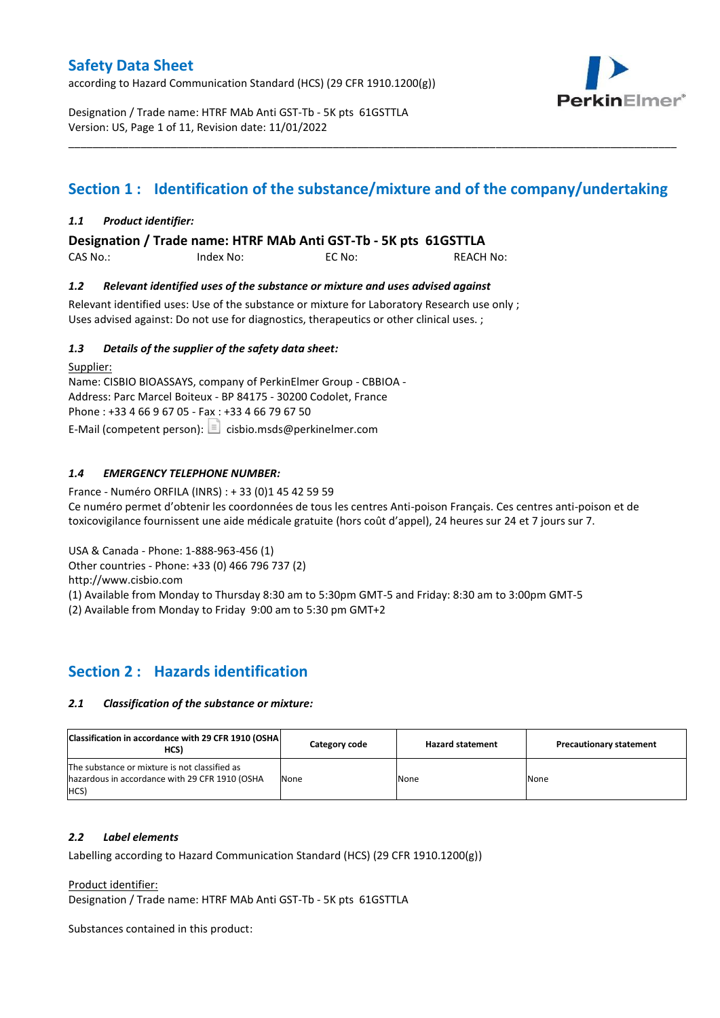according to Hazard Communication Standard (HCS) (29 CFR 1910.1200(g))



Designation / Trade name: HTRF MAb Anti GST-Tb - 5K pts 61GSTTLA Version: US, Page 1 of 11, Revision date: 11/01/2022

# **Section 1 : Identification of the substance/mixture and of the company/undertaking**

\_\_\_\_\_\_\_\_\_\_\_\_\_\_\_\_\_\_\_\_\_\_\_\_\_\_\_\_\_\_\_\_\_\_\_\_\_\_\_\_\_\_\_\_\_\_\_\_\_\_\_\_\_\_\_\_\_\_\_\_\_\_\_\_\_\_\_\_\_\_\_\_\_\_\_\_\_\_\_\_\_\_\_\_\_\_\_\_\_\_\_\_\_\_\_\_\_\_\_\_\_

### *1.1 Product identifier:*

**Designation / Trade name: HTRF MAb Anti GST-Tb - 5K pts 61GSTTLA** 

| CAS No.: | Index No: | EC No: | <b>REACH No:</b> |
|----------|-----------|--------|------------------|
|          |           |        |                  |

### *1.2 Relevant identified uses of the substance or mixture and uses advised against*

Relevant identified uses: Use of the substance or mixture for Laboratory Research use only ; Uses advised against: Do not use for diagnostics, therapeutics or other clinical uses. ;

### *1.3 Details of the supplier of the safety data sheet:*

Supplier: Name: CISBIO BIOASSAYS, company of PerkinElmer Group - CBBIOA - Address: Parc Marcel Boiteux - BP 84175 - 30200 Codolet, France Phone : +33 4 66 9 67 05 - Fax : +33 4 66 79 67 50 E-Mail (competent person):  $\boxed{\equiv}$  cisbio.msds@perkinelmer.com

### *1.4 EMERGENCY TELEPHONE NUMBER:*

France - Numéro ORFILA (INRS) : + 33 (0)1 45 42 59 59 Ce numéro permet d'obtenir les coordonnées de tous les centres Anti-poison Français. Ces centres anti-poison et de toxicovigilance fournissent une aide médicale gratuite (hors coût d'appel), 24 heures sur 24 et 7 jours sur 7.

USA & Canada - Phone: 1-888-963-456 (1)

Other countries - Phone: +33 (0) 466 796 737 (2)

http://www.cisbio.com

(1) Available from Monday to Thursday 8:30 am to 5:30pm GMT-5 and Friday: 8:30 am to 3:00pm GMT-5

(2) Available from Monday to Friday 9:00 am to 5:30 pm GMT+2

### **Section 2 : Hazards identification**

#### *2.1 Classification of the substance or mixture:*

| Classification in accordance with 29 CFR 1910 (OSHA)<br>HCS)                                            | Category code | <b>Hazard statement</b> | <b>Precautionary statement</b> |
|---------------------------------------------------------------------------------------------------------|---------------|-------------------------|--------------------------------|
| The substance or mixture is not classified as<br>hazardous in accordance with 29 CFR 1910 (OSHA<br>HCS) | None          | None                    | None                           |

#### *2.2 Label elements*

Labelling according to Hazard Communication Standard (HCS) (29 CFR 1910.1200(g))

Product identifier:

Designation / Trade name: HTRF MAb Anti GST-Tb - 5K pts 61GSTTLA

Substances contained in this product: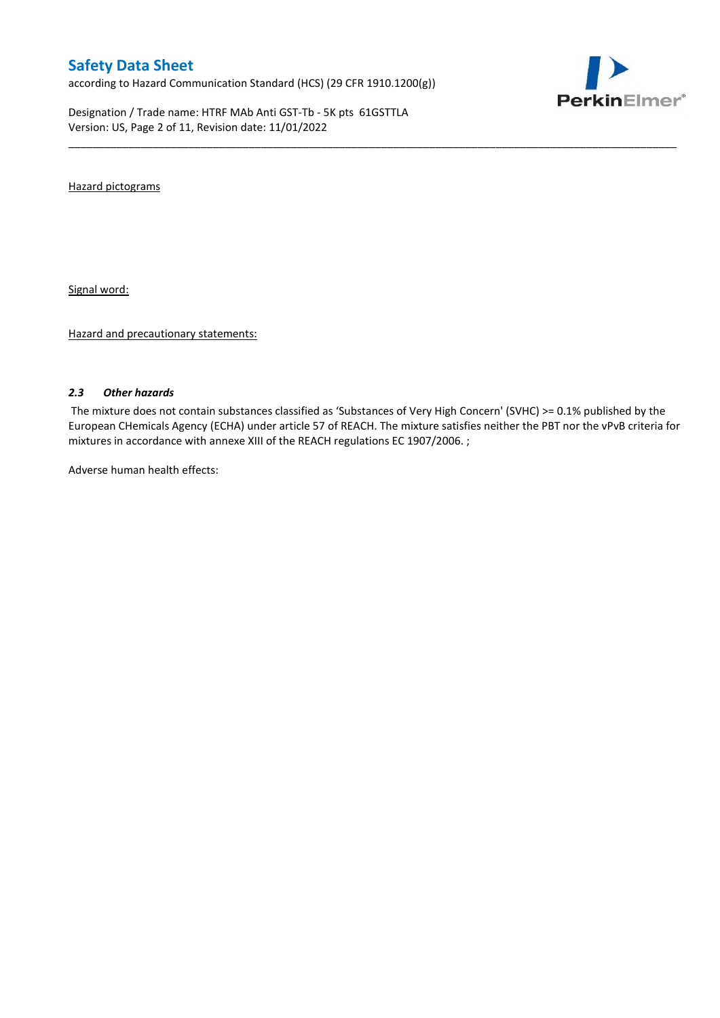according to Hazard Communication Standard (HCS) (29 CFR 1910.1200(g))

Designation / Trade name: HTRF MAb Anti GST-Tb - 5K pts 61GSTTLA Version: US, Page 2 of 11, Revision date: 11/01/2022



Hazard pictograms

Signal word:

Hazard and precautionary statements:

#### *2.3 Other hazards*

The mixture does not contain substances classified as 'Substances of Very High Concern' (SVHC) >= 0.1% published by the European CHemicals Agency (ECHA) under article 57 of REACH. The mixture satisfies neither the PBT nor the vPvB criteria for mixtures in accordance with annexe XIII of the REACH regulations EC 1907/2006. ;

\_\_\_\_\_\_\_\_\_\_\_\_\_\_\_\_\_\_\_\_\_\_\_\_\_\_\_\_\_\_\_\_\_\_\_\_\_\_\_\_\_\_\_\_\_\_\_\_\_\_\_\_\_\_\_\_\_\_\_\_\_\_\_\_\_\_\_\_\_\_\_\_\_\_\_\_\_\_\_\_\_\_\_\_\_\_\_\_\_\_\_\_\_\_\_\_\_\_\_\_\_

Adverse human health effects: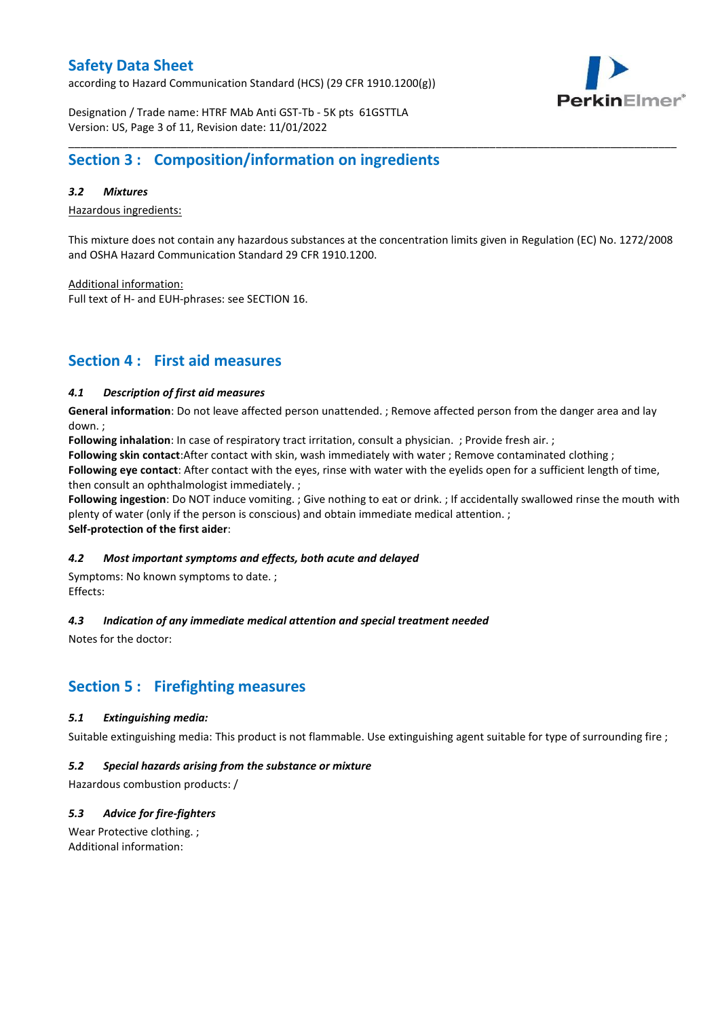according to Hazard Communication Standard (HCS) (29 CFR 1910.1200(g))



Designation / Trade name: HTRF MAb Anti GST-Tb - 5K pts 61GSTTLA Version: US, Page 3 of 11, Revision date: 11/01/2022

## **Section 3 : Composition/information on ingredients**

### *3.2 Mixtures*

Hazardous ingredients:

This mixture does not contain any hazardous substances at the concentration limits given in Regulation (EC) No. 1272/2008 and OSHA Hazard Communication Standard 29 CFR 1910.1200.

\_\_\_\_\_\_\_\_\_\_\_\_\_\_\_\_\_\_\_\_\_\_\_\_\_\_\_\_\_\_\_\_\_\_\_\_\_\_\_\_\_\_\_\_\_\_\_\_\_\_\_\_\_\_\_\_\_\_\_\_\_\_\_\_\_\_\_\_\_\_\_\_\_\_\_\_\_\_\_\_\_\_\_\_\_\_\_\_\_\_\_\_\_\_\_\_\_\_\_\_\_

Additional information:

Full text of H- and EUH-phrases: see SECTION 16.

### **Section 4 : First aid measures**

#### *4.1 Description of first aid measures*

**General information**: Do not leave affected person unattended. ; Remove affected person from the danger area and lay down. ;

**Following inhalation**: In case of respiratory tract irritation, consult a physician. ; Provide fresh air. ;

**Following skin contact**:After contact with skin, wash immediately with water ; Remove contaminated clothing ;

**Following eye contact**: After contact with the eyes, rinse with water with the eyelids open for a sufficient length of time, then consult an ophthalmologist immediately. ;

**Following ingestion**: Do NOT induce vomiting. ; Give nothing to eat or drink. ; If accidentally swallowed rinse the mouth with plenty of water (only if the person is conscious) and obtain immediate medical attention. ; **Self-protection of the first aider**:

#### *4.2 Most important symptoms and effects, both acute and delayed*

Symptoms: No known symptoms to date. ; Effects:

### *4.3 Indication of any immediate medical attention and special treatment needed*

Notes for the doctor:

## **Section 5 : Firefighting measures**

#### *5.1 Extinguishing media:*

Suitable extinguishing media: This product is not flammable. Use extinguishing agent suitable for type of surrounding fire ;

#### *5.2 Special hazards arising from the substance or mixture*

Hazardous combustion products: /

### *5.3 Advice for fire-fighters*

Wear Protective clothing. ; Additional information: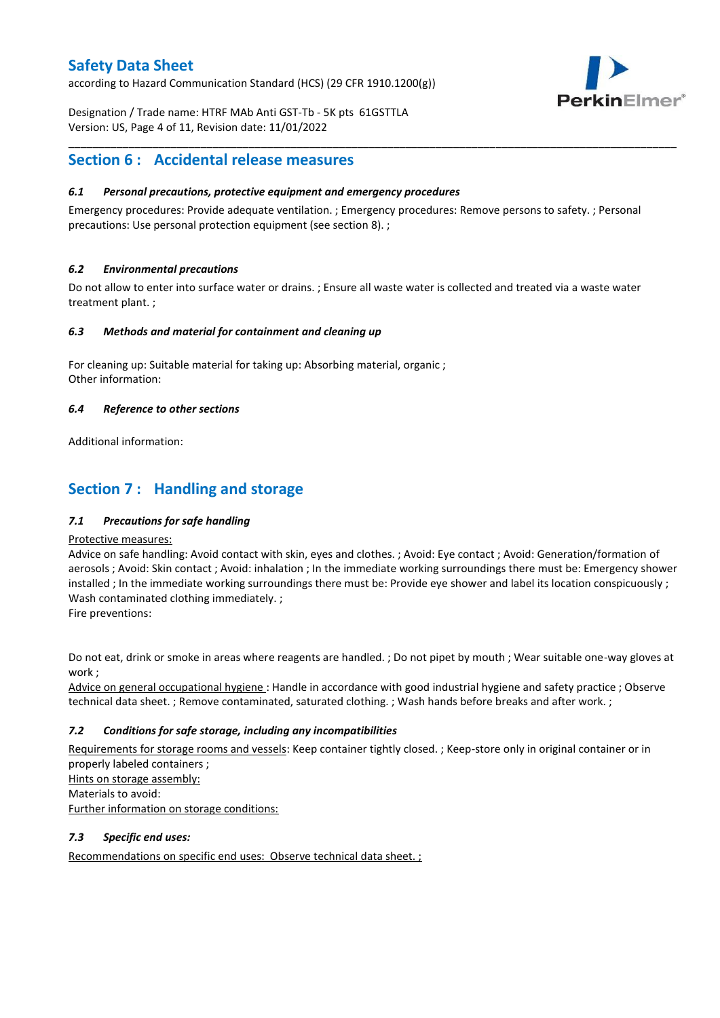according to Hazard Communication Standard (HCS) (29 CFR 1910.1200(g))



Designation / Trade name: HTRF MAb Anti GST-Tb - 5K pts 61GSTTLA Version: US, Page 4 of 11, Revision date: 11/01/2022

## **Section 6 : Accidental release measures**

### *6.1 Personal precautions, protective equipment and emergency procedures*

Emergency procedures: Provide adequate ventilation. ; Emergency procedures: Remove persons to safety. ; Personal precautions: Use personal protection equipment (see section 8). ;

\_\_\_\_\_\_\_\_\_\_\_\_\_\_\_\_\_\_\_\_\_\_\_\_\_\_\_\_\_\_\_\_\_\_\_\_\_\_\_\_\_\_\_\_\_\_\_\_\_\_\_\_\_\_\_\_\_\_\_\_\_\_\_\_\_\_\_\_\_\_\_\_\_\_\_\_\_\_\_\_\_\_\_\_\_\_\_\_\_\_\_\_\_\_\_\_\_\_\_\_\_

### *6.2 Environmental precautions*

Do not allow to enter into surface water or drains. ; Ensure all waste water is collected and treated via a waste water treatment plant. ;

#### *6.3 Methods and material for containment and cleaning up*

For cleaning up: Suitable material for taking up: Absorbing material, organic ; Other information:

### *6.4 Reference to other sections*

Additional information:

## **Section 7 : Handling and storage**

### *7.1 Precautions for safe handling*

#### Protective measures:

Advice on safe handling: Avoid contact with skin, eyes and clothes. ; Avoid: Eye contact ; Avoid: Generation/formation of aerosols ; Avoid: Skin contact ; Avoid: inhalation ; In the immediate working surroundings there must be: Emergency shower installed ; In the immediate working surroundings there must be: Provide eye shower and label its location conspicuously; Wash contaminated clothing immediately. ;

Fire preventions:

Do not eat, drink or smoke in areas where reagents are handled. ; Do not pipet by mouth ; Wear suitable one-way gloves at work ;

Advice on general occupational hygiene : Handle in accordance with good industrial hygiene and safety practice ; Observe technical data sheet. ; Remove contaminated, saturated clothing. ; Wash hands before breaks and after work. ;

### *7.2 Conditions for safe storage, including any incompatibilities*

Requirements for storage rooms and vessels: Keep container tightly closed. ; Keep-store only in original container or in properly labeled containers ; Hints on storage assembly: Materials to avoid:

Further information on storage conditions:

### *7.3 Specific end uses:*

Recommendations on specific end uses: Observe technical data sheet. ;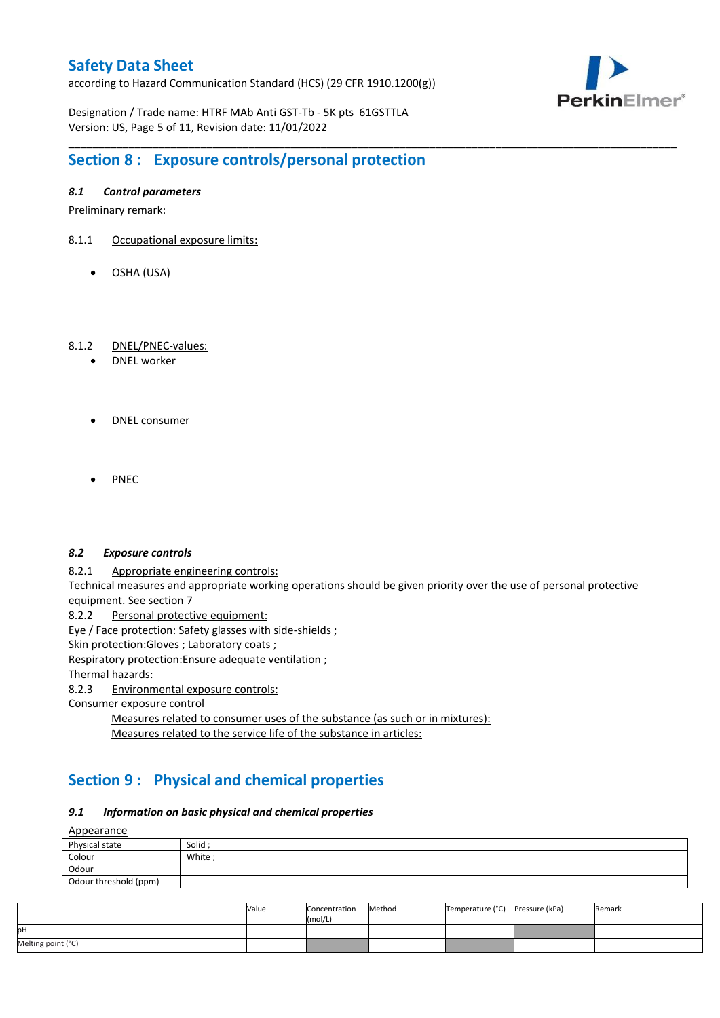according to Hazard Communication Standard (HCS) (29 CFR 1910.1200(g))



Designation / Trade name: HTRF MAb Anti GST-Tb - 5K pts 61GSTTLA Version: US, Page 5 of 11, Revision date: 11/01/2022

# **Section 8 : Exposure controls/personal protection**

### *8.1 Control parameters*

Preliminary remark:

- 8.1.1 Occupational exposure limits:
	- OSHA (USA)

### 8.1.2 DNEL/PNEC-values:

- DNEL worker
- DNEL consumer
- PNEC

#### *8.2 Exposure controls*

8.2.1 Appropriate engineering controls:

Technical measures and appropriate working operations should be given priority over the use of personal protective equipment. See section 7

\_\_\_\_\_\_\_\_\_\_\_\_\_\_\_\_\_\_\_\_\_\_\_\_\_\_\_\_\_\_\_\_\_\_\_\_\_\_\_\_\_\_\_\_\_\_\_\_\_\_\_\_\_\_\_\_\_\_\_\_\_\_\_\_\_\_\_\_\_\_\_\_\_\_\_\_\_\_\_\_\_\_\_\_\_\_\_\_\_\_\_\_\_\_\_\_\_\_\_\_\_

8.2.2 Personal protective equipment:

Eye / Face protection: Safety glasses with side-shields ;

Skin protection: Gloves ; Laboratory coats ;

Respiratory protection:Ensure adequate ventilation ;

Thermal hazards:

8.2.3 Environmental exposure controls:

Consumer exposure control

Measures related to consumer uses of the substance (as such or in mixtures): Measures related to the service life of the substance in articles:

# **Section 9 : Physical and chemical properties**

### *9.1 Information on basic physical and chemical properties*

**A**ppearance

| <u>Appearance</u>     |       |  |  |  |  |
|-----------------------|-------|--|--|--|--|
| Physical state        | Solid |  |  |  |  |
| Colour                | White |  |  |  |  |
| Odour                 |       |  |  |  |  |
| Odour threshold (ppm) |       |  |  |  |  |

|                    | Value | Concentration<br>(mol/L) | Method | Temperature (°C) Pressure (kPa) | Remark |
|--------------------|-------|--------------------------|--------|---------------------------------|--------|
| pН                 |       |                          |        |                                 |        |
| Melting point (°C) |       |                          |        |                                 |        |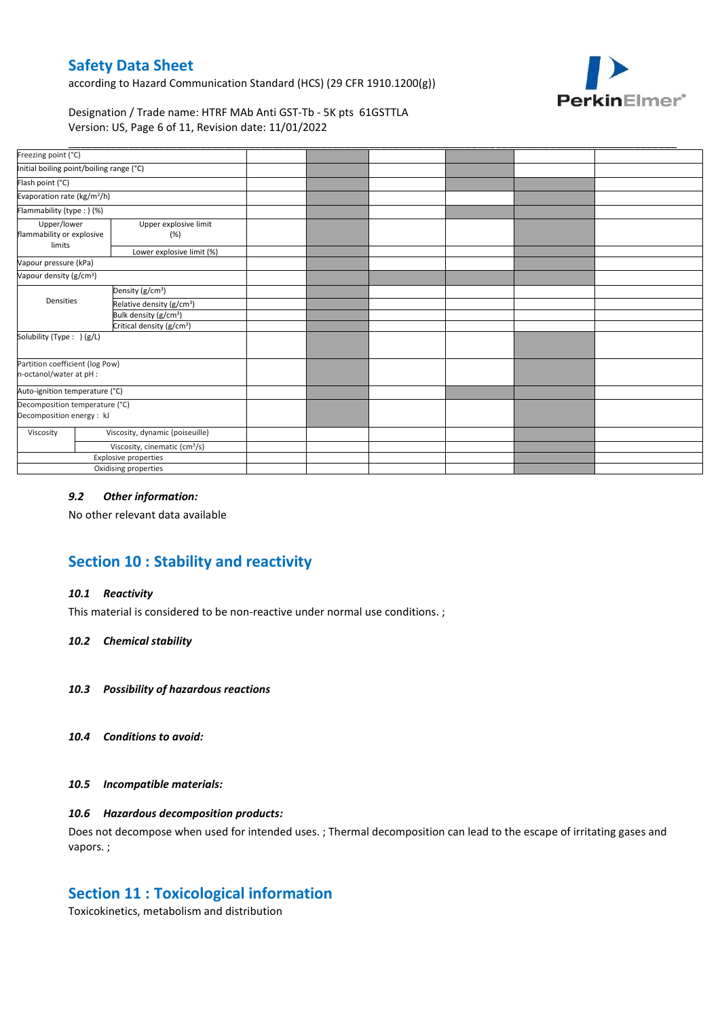according to Hazard Communication Standard (HCS) (29 CFR 1910.1200(g))



Designation / Trade name: HTRF MAb Anti GST-Tb - 5K pts 61GSTTLA Version: US, Page 6 of 11, Revision date: 11/01/2022

| Freezing point (°C)                                         |                                           |                                       |  |  |  |
|-------------------------------------------------------------|-------------------------------------------|---------------------------------------|--|--|--|
| Initial boiling point/boiling range (°C)                    |                                           |                                       |  |  |  |
| Flash point (°C)                                            |                                           |                                       |  |  |  |
| Evaporation rate (kg/m <sup>2</sup> /h)                     |                                           |                                       |  |  |  |
| Flammability (type : ) (%)                                  |                                           |                                       |  |  |  |
| Upper/lower<br>flammability or explosive<br>limits          |                                           | Upper explosive limit<br>(%)          |  |  |  |
|                                                             |                                           | Lower explosive limit (%)             |  |  |  |
| Vapour pressure (kPa)                                       |                                           |                                       |  |  |  |
| Vapour density (g/cm <sup>3</sup> )                         |                                           |                                       |  |  |  |
|                                                             |                                           | Density (g/cm <sup>3</sup> )          |  |  |  |
| Densities                                                   |                                           | Relative density (g/cm <sup>3</sup> ) |  |  |  |
|                                                             |                                           | Bulk density (g/cm <sup>3</sup> )     |  |  |  |
|                                                             |                                           | Critical density (g/cm <sup>3</sup> ) |  |  |  |
| Solubility (Type: ) (g/L)                                   |                                           |                                       |  |  |  |
| Partition coefficient (log Pow)<br>n-octanol/water at pH :  |                                           |                                       |  |  |  |
| Auto-ignition temperature (°C)                              |                                           |                                       |  |  |  |
| Decomposition temperature (°C)<br>Decomposition energy : kJ |                                           |                                       |  |  |  |
| Viscosity                                                   |                                           | Viscosity, dynamic (poiseuille)       |  |  |  |
|                                                             | Viscosity, cinematic (cm <sup>3</sup> /s) |                                       |  |  |  |
|                                                             |                                           | Explosive properties                  |  |  |  |
|                                                             |                                           | Oxidising properties                  |  |  |  |

### *9.2 Other information:*

No other relevant data available

# **Section 10 : Stability and reactivity**

#### *10.1 Reactivity*

This material is considered to be non-reactive under normal use conditions. ;

#### *10.2 Chemical stability*

- *10.3 Possibility of hazardous reactions*
- *10.4 Conditions to avoid:*

#### *10.5 Incompatible materials:*

### *10.6 Hazardous decomposition products:*

Does not decompose when used for intended uses. ; Thermal decomposition can lead to the escape of irritating gases and vapors. ;

### **Section 11 : Toxicological information**

Toxicokinetics, metabolism and distribution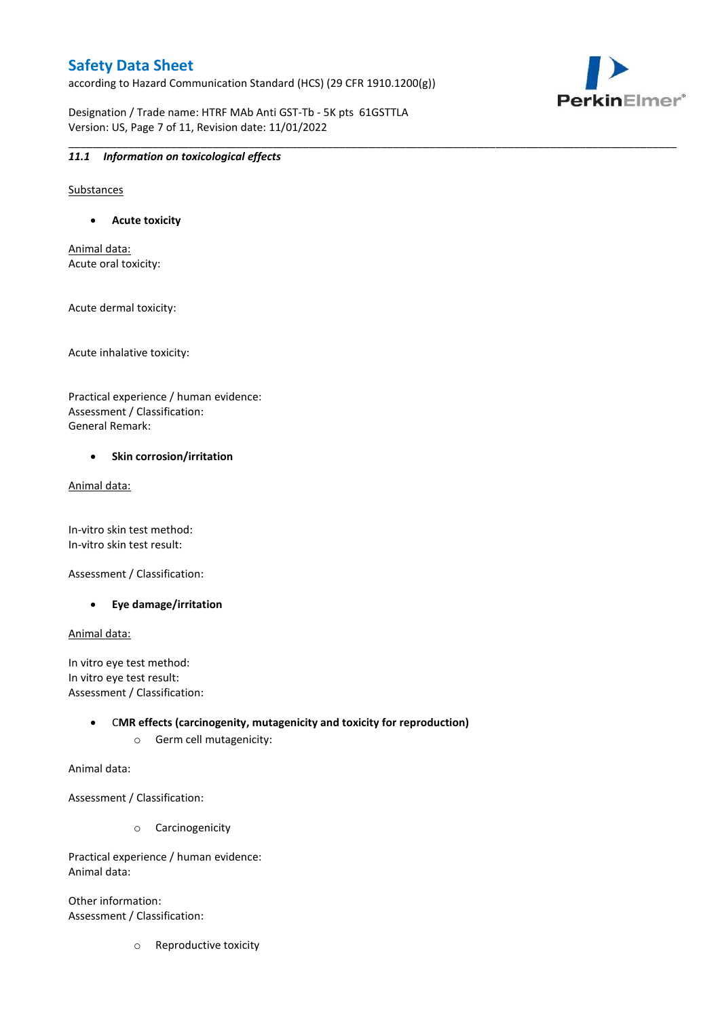according to Hazard Communication Standard (HCS) (29 CFR 1910.1200(g))

\_\_\_\_\_\_\_\_\_\_\_\_\_\_\_\_\_\_\_\_\_\_\_\_\_\_\_\_\_\_\_\_\_\_\_\_\_\_\_\_\_\_\_\_\_\_\_\_\_\_\_\_\_\_\_\_\_\_\_\_\_\_\_\_\_\_\_\_\_\_\_\_\_\_\_\_\_\_\_\_\_\_\_\_\_\_\_\_\_\_\_\_\_\_\_\_\_\_\_\_\_

PerkinElmer®

Designation / Trade name: HTRF MAb Anti GST-Tb - 5K pts 61GSTTLA Version: US, Page 7 of 11, Revision date: 11/01/2022

### *11.1 Information on toxicological effects*

Substances

**Acute toxicity**

Animal data: Acute oral toxicity:

Acute dermal toxicity:

Acute inhalative toxicity:

Practical experience / human evidence: Assessment / Classification: General Remark:

#### **•** Skin corrosion/irritation

Animal data:

In-vitro skin test method: In-vitro skin test result:

Assessment / Classification:

**Eye damage/irritation**

Animal data:

In vitro eye test method: In vitro eye test result: Assessment / Classification:

> C**MR effects (carcinogenity, mutagenicity and toxicity for reproduction)** o Germ cell mutagenicity:

Animal data:

Assessment / Classification:

o Carcinogenicity

Practical experience / human evidence: Animal data:

Other information: Assessment / Classification:

o Reproductive toxicity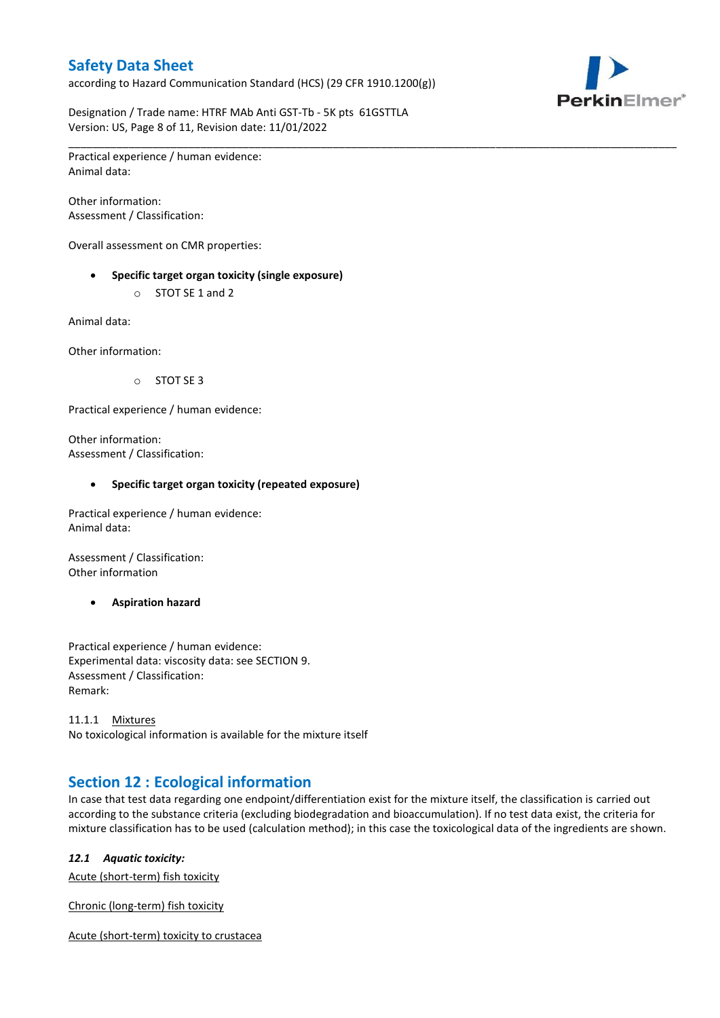according to Hazard Communication Standard (HCS) (29 CFR 1910.1200(g))



Designation / Trade name: HTRF MAb Anti GST-Tb - 5K pts 61GSTTLA Version: US, Page 8 of 11, Revision date: 11/01/2022

\_\_\_\_\_\_\_\_\_\_\_\_\_\_\_\_\_\_\_\_\_\_\_\_\_\_\_\_\_\_\_\_\_\_\_\_\_\_\_\_\_\_\_\_\_\_\_\_\_\_\_\_\_\_\_\_\_\_\_\_\_\_\_\_\_\_\_\_\_\_\_\_\_\_\_\_\_\_\_\_\_\_\_\_\_\_\_\_\_\_\_\_\_\_\_\_\_\_\_\_\_ Practical experience / human evidence: Animal data:

Other information: Assessment / Classification:

Overall assessment on CMR properties:

- **Specific target organ toxicity (single exposure)**
	- o STOT SE 1 and 2

Animal data:

Other information:

o STOT SE 3

Practical experience / human evidence:

Other information: Assessment / Classification:

#### **Specific target organ toxicity (repeated exposure)**

Practical experience / human evidence: Animal data:

Assessment / Classification: Other information

**Aspiration hazard**

Practical experience / human evidence: Experimental data: viscosity data: see SECTION 9. Assessment / Classification: Remark:

11.1.1 Mixtures No toxicological information is available for the mixture itself

## **Section 12 : Ecological information**

In case that test data regarding one endpoint/differentiation exist for the mixture itself, the classification is carried out according to the substance criteria (excluding biodegradation and bioaccumulation). If no test data exist, the criteria for mixture classification has to be used (calculation method); in this case the toxicological data of the ingredients are shown.

#### *12.1 Aquatic toxicity:*

Acute (short-term) fish toxicity

Chronic (long-term) fish toxicity

Acute (short-term) toxicity to crustacea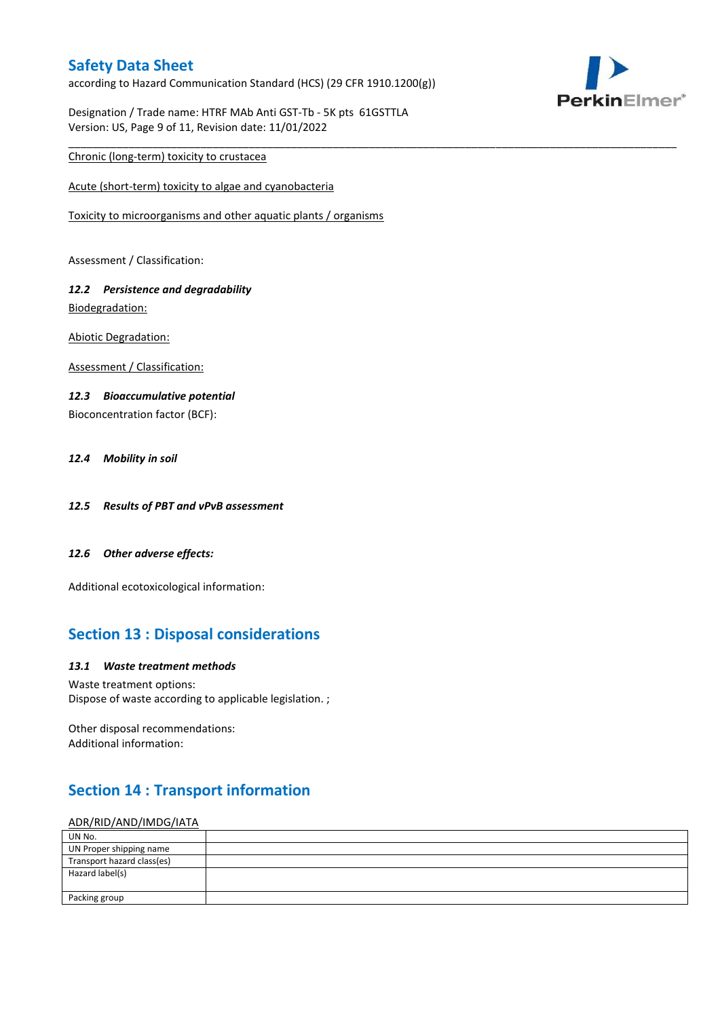according to Hazard Communication Standard (HCS) (29 CFR 1910.1200(g))

\_\_\_\_\_\_\_\_\_\_\_\_\_\_\_\_\_\_\_\_\_\_\_\_\_\_\_\_\_\_\_\_\_\_\_\_\_\_\_\_\_\_\_\_\_\_\_\_\_\_\_\_\_\_\_\_\_\_\_\_\_\_\_\_\_\_\_\_\_\_\_\_\_\_\_\_\_\_\_\_\_\_\_\_\_\_\_\_\_\_\_\_\_\_\_\_\_\_\_\_\_



Designation / Trade name: HTRF MAb Anti GST-Tb - 5K pts 61GSTTLA Version: US, Page 9 of 11, Revision date: 11/01/2022

### Chronic (long-term) toxicity to crustacea

Acute (short-term) toxicity to algae and cyanobacteria

Toxicity to microorganisms and other aquatic plants / organisms

Assessment / Classification:

### *12.2 Persistence and degradability* Biodegradation:

Abiotic Degradation:

Assessment / Classification:

### *12.3 Bioaccumulative potential*

Bioconcentration factor (BCF):

### *12.4 Mobility in soil*

- *12.5 Results of PBT and vPvB assessment*
- *12.6 Other adverse effects:*

Additional ecotoxicological information:

## **Section 13 : Disposal considerations**

#### *13.1 Waste treatment methods*

Waste treatment options: Dispose of waste according to applicable legislation. ;

Other disposal recommendations: Additional information:

# **Section 14 : Transport information**

### ADR/RID/AND/IMDG/IATA

| UN No.                     |  |
|----------------------------|--|
| UN Proper shipping name    |  |
| Transport hazard class(es) |  |
| Hazard label(s)            |  |
|                            |  |
| Packing group              |  |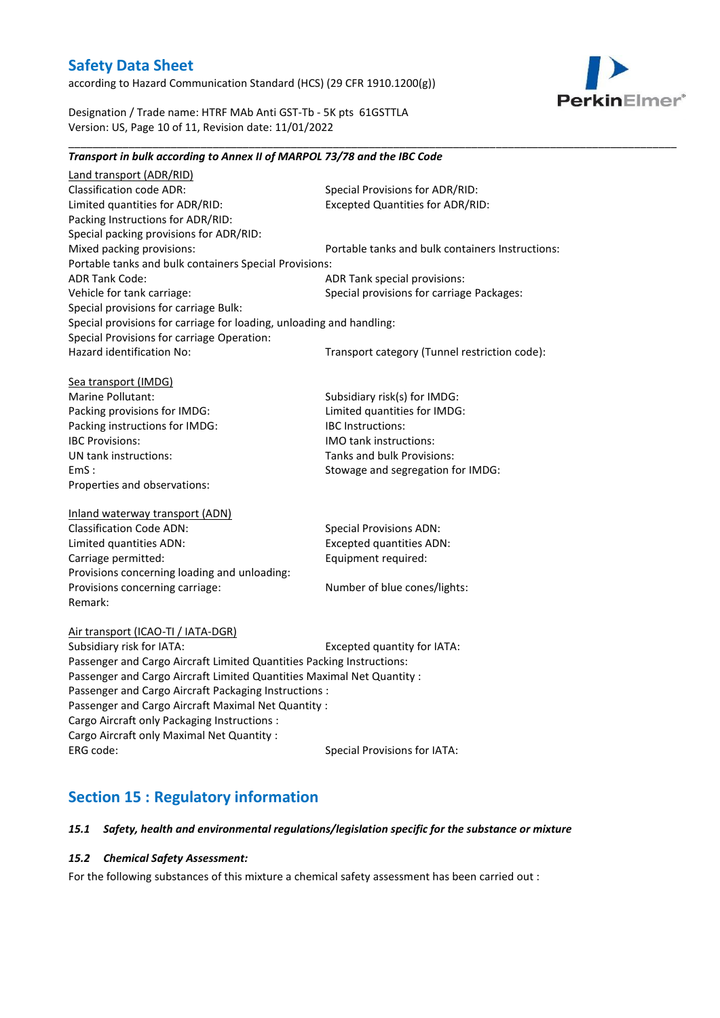according to Hazard Communication Standard (HCS) (29 CFR 1910.1200(g))



Designation / Trade name: HTRF MAb Anti GST-Tb - 5K pts 61GSTTLA Version: US, Page 10 of 11, Revision date: 11/01/2022

### *Transport in bulk according to Annex II of MARPOL 73/78 and the IBC Code*

\_\_\_\_\_\_\_\_\_\_\_\_\_\_\_\_\_\_\_\_\_\_\_\_\_\_\_\_\_\_\_\_\_\_\_\_\_\_\_\_\_\_\_\_\_\_\_\_\_\_\_\_\_\_\_\_\_\_\_\_\_\_\_\_\_\_\_\_\_\_\_\_\_\_\_\_\_\_\_\_\_\_\_\_\_\_\_\_\_\_\_\_\_\_\_\_\_\_\_\_\_

Land transport (ADR/RID) Classification code ADR: Special Provisions for ADR/RID:<br>
Limited quantities for ADR/RID: Excepted Quantities for ADR/RI Excepted Quantities for ADR/RID: Packing Instructions for ADR/RID: Special packing provisions for ADR/RID: Mixed packing provisions: Portable tanks and bulk containers Instructions: Portable tanks and bulk containers Special Provisions: ADR Tank Code: ADR Tank special provisions: Vehicle for tank carriage:  $S$  Special provisions for carriage Packages: Special provisions for carriage Bulk: Special provisions for carriage for loading, unloading and handling: Special Provisions for carriage Operation: Hazard identification No: Transport category (Tunnel restriction code): Sea transport (IMDG) Marine Pollutant: Subsidiary risk(s) for IMDG: Packing provisions for IMDG: Limited quantities for IMDG: Packing instructions for IMDG: IBC Instructions: IBC Provisions: IMO tank instructions: UN tank instructions: Tanks and bulk Provisions: EmS : Stowage and segregation for IMDG: Properties and observations: Inland waterway transport (ADN) Classification Code ADN: Special Provisions ADN: Limited quantities ADN: Excepted quantities ADN: Carriage permitted: Carriage permitted: Provisions concerning loading and unloading: Provisions concerning carriage: Number of blue cones/lights: Remark: Air transport (ICAO-TI / IATA-DGR) Subsidiary risk for IATA: Excepted quantity for IATA: Passenger and Cargo Aircraft Limited Quantities Packing Instructions: Passenger and Cargo Aircraft Limited Quantities Maximal Net Quantity : Passenger and Cargo Aircraft Packaging Instructions : Passenger and Cargo Aircraft Maximal Net Quantity : Cargo Aircraft only Packaging Instructions : Cargo Aircraft only Maximal Net Quantity : ERG code: Special Provisions for IATA:

## **Section 15 : Regulatory information**

#### *15.1 Safety, health and environmental regulations/legislation specific for the substance or mixture*

#### *15.2 Chemical Safety Assessment:*

For the following substances of this mixture a chemical safety assessment has been carried out :